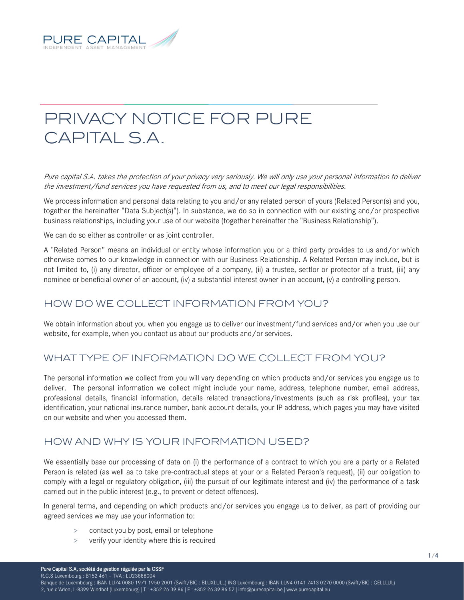

# PRIVACY NOTICE FOR PURE CAPITAL S.A.

Pure capital S.A. takes the protection of your privacy very seriously. We will only use your personal information to deliver the investment/fund services you have requested from us, and to meet our legal responsibilities.

We process information and personal data relating to you and/or any related person of yours (Related Person(s) and you, together the hereinafter "Data Subject(s)"). In substance, we do so in connection with our existing and/or prospective business relationships, including your use of our website (together hereinafter the "Business Relationship").

We can do so either as controller or as joint controller.

A "Related Person" means an individual or entity whose information you or a third party provides to us and/or which otherwise comes to our knowledge in connection with our Business Relationship. A Related Person may include, but is not limited to, (i) any director, officer or employee of a company, (ii) a trustee, settlor or protector of a trust, (iii) any nominee or beneficial owner of an account, (iv) a substantial interest owner in an account, (v) a controlling person.

## HOW DO WE COLLECT INFORMATION FROM YOU?

We obtain information about you when you engage us to deliver our investment/fund services and/or when you use our website, for example, when you contact us about our products and/or services.

### WHAT TYPE OF INFORMATION DO WE COLLECT FROM YOU?

The personal information we collect from you will vary depending on which products and/or services you engage us to deliver. The personal information we collect might include your name, address, telephone number, email address, professional details, financial information, details related transactions/investments (such as risk profiles), your tax identification, your national insurance number, bank account details, your IP address, which pages you may have visited on our website and when you accessed them.

#### HOW AND WHY IS YOUR INFORMATION USED?

We essentially base our processing of data on (i) the performance of a contract to which you are a party or a Related Person is related (as well as to take pre-contractual steps at your or a Related Person's request), (ii) our obligation to comply with a legal or regulatory obligation, (iii) the pursuit of our legitimate interest and (iv) the performance of a task carried out in the public interest (e.g., to prevent or detect offences).

In general terms, and depending on which products and/or services you engage us to deliver, as part of providing our agreed services we may use your information to:

- > contact you by post, email or telephone
- > verify your identity where this is required

1/4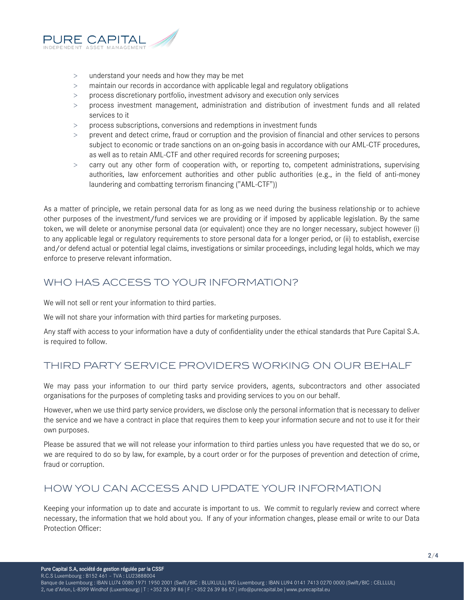

- > understand your needs and how they may be met
- > maintain our records in accordance with applicable legal and regulatory obligations
- > process discretionary portfolio, investment advisory and execution only services
- > process investment management, administration and distribution of investment funds and all related services to it
- > process subscriptions, conversions and redemptions in investment funds
- prevent and detect crime, fraud or corruption and the provision of financial and other services to persons subject to economic or trade sanctions on an on-going basis in accordance with our AML-CTF procedures, as well as to retain AML-CTF and other required records for screening purposes;
- > carry out any other form of cooperation with, or reporting to, competent administrations, supervising authorities, law enforcement authorities and other public authorities (e.g., in the field of anti-money laundering and combatting terrorism financing ("AML-CTF"))

As a matter of principle, we retain personal data for as long as we need during the business relationship or to achieve other purposes of the investment/fund services we are providing or if imposed by applicable legislation. By the same token, we will delete or anonymise personal data (or equivalent) once they are no longer necessary, subject however (i) to any applicable legal or regulatory requirements to store personal data for a longer period, or (ii) to establish, exercise and/or defend actual or potential legal claims, investigations or similar proceedings, including legal holds, which we may enforce to preserve relevant information.

## WHO HAS ACCESS TO YOUR INFORMATION?

We will not sell or rent your information to third parties.

We will not share your information with third parties for marketing purposes.

Any staff with access to your information have a duty of confidentiality under the ethical standards that Pure Capital S.A. is required to follow.

## THIRD PARTY SERVICE PROVIDERS WORKING ON OUR BEHALF

We may pass your information to our third party service providers, agents, subcontractors and other associated organisations for the purposes of completing tasks and providing services to you on our behalf.

However, when we use third party service providers, we disclose only the personal information that is necessary to deliver the service and we have a contract in place that requires them to keep your information secure and not to use it for their own purposes.

Please be assured that we will not release your information to third parties unless you have requested that we do so, or we are required to do so by law, for example, by a court order or for the purposes of prevention and detection of crime, fraud or corruption.

## HOW YOU CAN ACCESS AND UPDATE YOUR INFORMATION

Keeping your information up to date and accurate is important to us. We commit to regularly review and correct where necessary, the information that we hold about you. If any of your information changes, please email or write to our Data Protection Officer:

R.C.S Luxembourg : B152 461 – TVA : LU23888004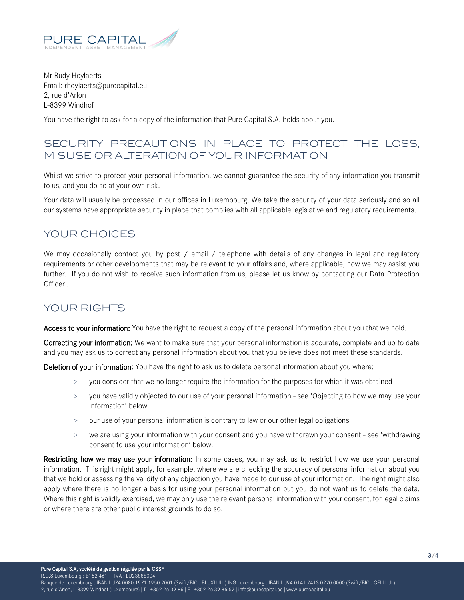

Mr Rudy Hoylaerts Email: rhoylaerts@purecapital.eu 2, rue d'Arlon L-8399 Windhof

You have the right to ask for a copy of the information that Pure Capital S.A. holds about you.

### SECURITY PRECAUTIONS IN PLACE TO PROTECT THE LOSS, MISUSE OR ALTERATION OF YOUR INFORMATION

Whilst we strive to protect your personal information, we cannot guarantee the security of any information you transmit to us, and you do so at your own risk.

Your data will usually be processed in our offices in Luxembourg. We take the security of your data seriously and so all our systems have appropriate security in place that complies with all applicable legislative and regulatory requirements.

### YOUR CHOICES

We may occasionally contact you by post / email / telephone with details of any changes in legal and regulatory requirements or other developments that may be relevant to your affairs and, where applicable, how we may assist you further. If you do not wish to receive such information from us, please let us know by contacting our Data Protection Officer .

### YOUR RIGHTS

Access to your information: You have the right to request a copy of the personal information about you that we hold.

Correcting your information: We want to make sure that your personal information is accurate, complete and up to date and you may ask us to correct any personal information about you that you believe does not meet these standards.

Deletion of your information: You have the right to ask us to delete personal information about you where:

- > you consider that we no longer require the information for the purposes for which it was obtained
- > you have validly objected to our use of your personal information see 'Objecting to how we may use your information' below
- > our use of your personal information is contrary to law or our other legal obligations
- > we are using your information with your consent and you have withdrawn your consent see 'withdrawing consent to use your information' below.

Restricting how we may use your information: In some cases, you may ask us to restrict how we use your personal information. This right might apply, for example, where we are checking the accuracy of personal information about you that we hold or assessing the validity of any objection you have made to our use of your information. The right might also apply where there is no longer a basis for using your personal information but you do not want us to delete the data. Where this right is validly exercised, we may only use the relevant personal information with your consent, for legal claims or where there are other public interest grounds to do so.